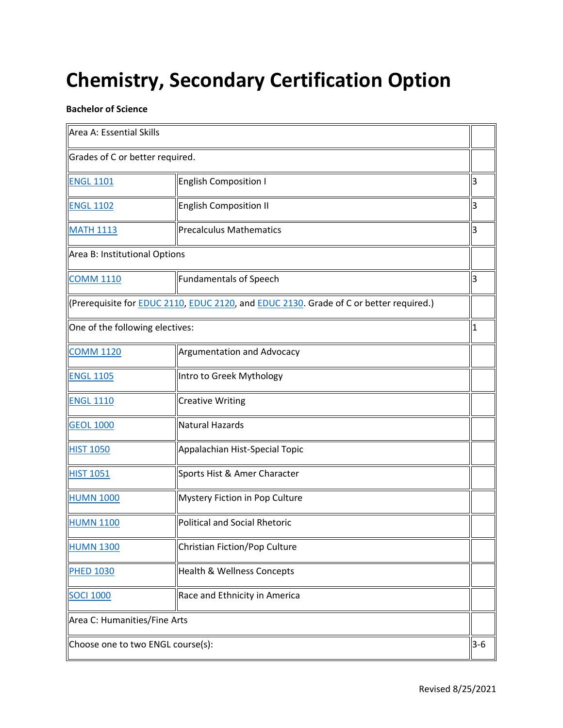## **Chemistry, Secondary Certification Option**

## **Bachelor of Science**

| Area A: Essential Skills                                                                               |                                      |             |
|--------------------------------------------------------------------------------------------------------|--------------------------------------|-------------|
| Grades of C or better required.                                                                        |                                      |             |
| <b>ENGL 1101</b>                                                                                       | <b>English Composition I</b>         | 3           |
| <b>ENGL 1102</b>                                                                                       | <b>English Composition II</b>        | 3           |
| <b>MATH 1113</b>                                                                                       | <b>Precalculus Mathematics</b>       | 3           |
| Area B: Institutional Options                                                                          |                                      |             |
| <b>COMM 1110</b>                                                                                       | <b>Fundamentals of Speech</b>        | 3           |
| (Prerequisite for <b>EDUC 2110</b> , EDUC 2120, and <b>EDUC 2130</b> . Grade of C or better required.) |                                      |             |
| One of the following electives:                                                                        |                                      | $\mathbf 1$ |
| <b>COMM 1120</b>                                                                                       | Argumentation and Advocacy           |             |
| <b>ENGL 1105</b>                                                                                       | Intro to Greek Mythology             |             |
| <b>ENGL 1110</b>                                                                                       | <b>Creative Writing</b>              |             |
| <b>GEOL 1000</b>                                                                                       | <b>Natural Hazards</b>               |             |
| <b>HIST 1050</b>                                                                                       | Appalachian Hist-Special Topic       |             |
| <b>HIST 1051</b>                                                                                       | Sports Hist & Amer Character         |             |
| <b>HUMN 1000</b>                                                                                       | Mystery Fiction in Pop Culture       |             |
| <b>HUMN 1100</b>                                                                                       | <b>Political and Social Rhetoric</b> |             |
| <b>HUMN 1300</b>                                                                                       | Christian Fiction/Pop Culture        |             |
| <b>PHED 1030</b>                                                                                       | Health & Wellness Concepts           |             |
| <b>SOCI 1000</b>                                                                                       | Race and Ethnicity in America        |             |
| Area C: Humanities/Fine Arts                                                                           |                                      |             |
| Choose one to two ENGL course(s):                                                                      |                                      | $3 - 6$     |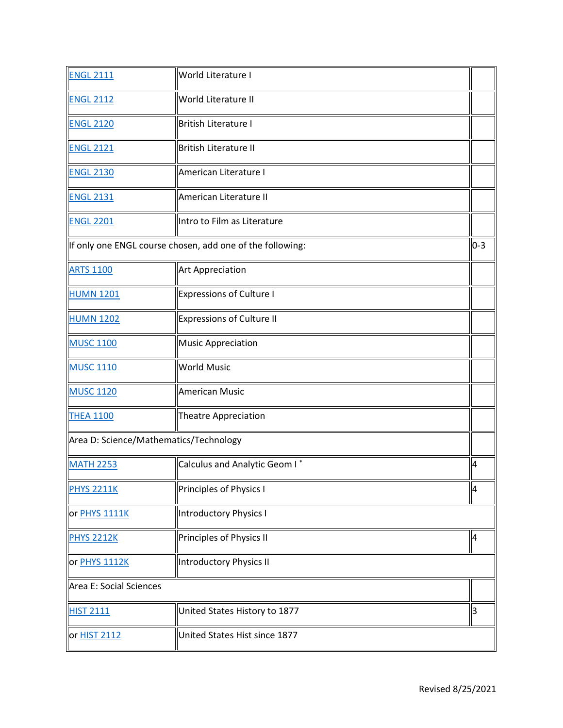| <b>ENGL 2111</b>                              | World Literature I                                                 |    |
|-----------------------------------------------|--------------------------------------------------------------------|----|
| <b>ENGL 2112</b>                              | World Literature II                                                |    |
| <b>ENGL 2120</b>                              | <b>British Literature I</b>                                        |    |
| <b>ENGL 2121</b>                              | <b>British Literature II</b>                                       |    |
| <b>ENGL 2130</b>                              | American Literature I                                              |    |
| <b>ENGL 2131</b>                              | American Literature II                                             |    |
| <b>ENGL 2201</b>                              | Intro to Film as Literature                                        |    |
|                                               | $0-3$<br>If only one ENGL course chosen, add one of the following: |    |
| <b>ARTS 1100</b>                              | <b>Art Appreciation</b>                                            |    |
| <b>HUMN 1201</b>                              | <b>Expressions of Culture I</b>                                    |    |
| <b>HUMN 1202</b>                              | <b>Expressions of Culture II</b>                                   |    |
| <b>MUSC 1100</b>                              | <b>Music Appreciation</b>                                          |    |
| <b>MUSC 1110</b>                              | <b>World Music</b>                                                 |    |
| <b>MUSC 1120</b>                              | <b>American Music</b>                                              |    |
| <b>THEA 1100</b>                              | <b>Theatre Appreciation</b>                                        |    |
| Area D: Science/Mathematics/Technology        |                                                                    |    |
| <b>MATH 2253</b>                              | Calculus and Analytic Geom I*                                      | 4  |
| <b>PHYS 2211K</b>                             | Principles of Physics I                                            | 14 |
| or PHYS 1111K                                 | <b>Introductory Physics I</b>                                      |    |
| <b>PHYS 2212K</b>                             | Principles of Physics II                                           | 14 |
| or PHYS 1112K                                 | <b>Introductory Physics II</b>                                     |    |
| Area E: Social Sciences                       |                                                                    |    |
| <b>HIST 2111</b>                              | United States History to 1877                                      | 3  |
| United States Hist since 1877<br>or HIST 2112 |                                                                    |    |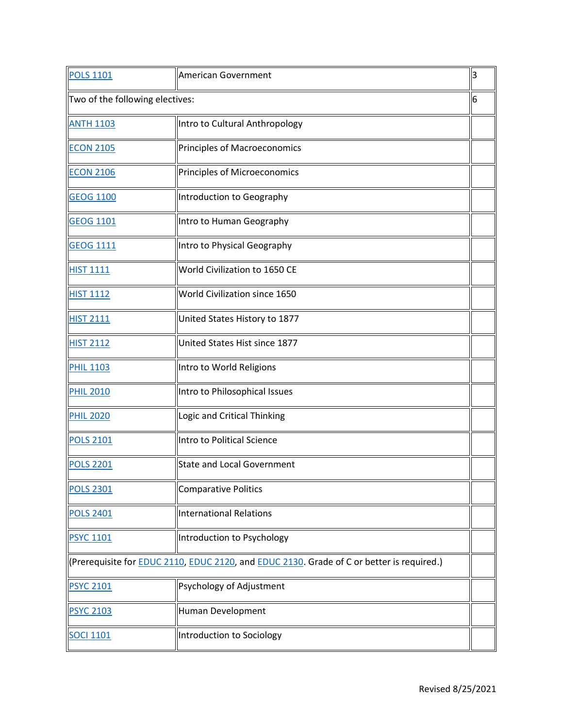| <b>POLS 1101</b>                | American Government                                                                                       | l3 |
|---------------------------------|-----------------------------------------------------------------------------------------------------------|----|
| Two of the following electives: |                                                                                                           | 6  |
| <b>ANTH 1103</b>                | Intro to Cultural Anthropology                                                                            |    |
| <b>ECON 2105</b>                | Principles of Macroeconomics                                                                              |    |
| <b>ECON 2106</b>                | Principles of Microeconomics                                                                              |    |
| <b>GEOG 1100</b>                | Introduction to Geography                                                                                 |    |
| <b>GEOG 1101</b>                | Intro to Human Geography                                                                                  |    |
| <b>GEOG 1111</b>                | Intro to Physical Geography                                                                               |    |
| <b>HIST 1111</b>                | World Civilization to 1650 CE                                                                             |    |
| <b>HIST 1112</b>                | World Civilization since 1650                                                                             |    |
| <b>HIST 2111</b>                | United States History to 1877                                                                             |    |
| <b>HIST 2112</b>                | United States Hist since 1877                                                                             |    |
| <b>PHIL 1103</b>                | Intro to World Religions                                                                                  |    |
| <b>PHIL 2010</b>                | Intro to Philosophical Issues                                                                             |    |
| <b>PHIL 2020</b>                | Logic and Critical Thinking                                                                               |    |
| <b>POLS 2101</b>                | Intro to Political Science                                                                                |    |
| <b>POLS 2201</b>                | <b>State and Local Government</b>                                                                         |    |
| <b>POLS 2301</b>                | <b>Comparative Politics</b>                                                                               |    |
| <b>POLS 2401</b>                | <b>International Relations</b>                                                                            |    |
| <b>PSYC 1101</b>                | Introduction to Psychology                                                                                |    |
|                                 | (Prerequisite for <b>EDUC 2110, EDUC 2120</b> , and <b>EDUC 2130</b> . Grade of C or better is required.) |    |
| <b>PSYC 2101</b>                | Psychology of Adjustment                                                                                  |    |
| <b>PSYC 2103</b>                | Human Development                                                                                         |    |
| <b>SOCI 1101</b>                | Introduction to Sociology                                                                                 |    |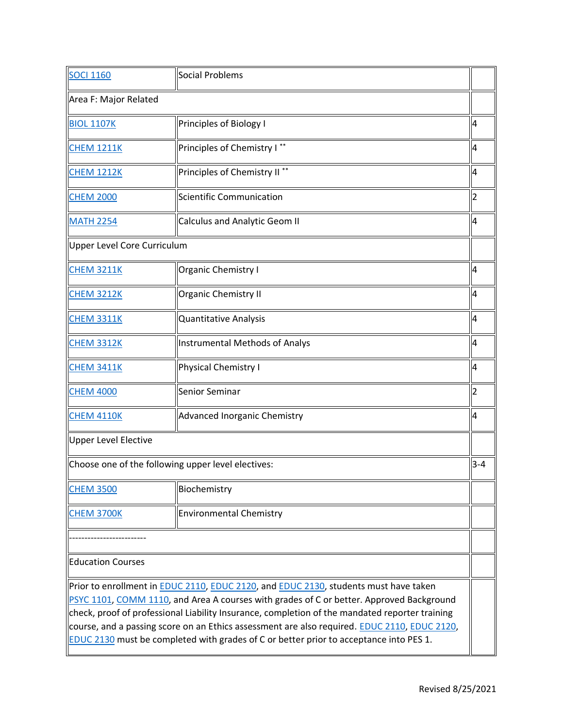| <b>SOCI 1160</b>                                                                                                                                                                                                                                                                                                                                                                                                                                                                                                    | Social Problems                          |         |
|---------------------------------------------------------------------------------------------------------------------------------------------------------------------------------------------------------------------------------------------------------------------------------------------------------------------------------------------------------------------------------------------------------------------------------------------------------------------------------------------------------------------|------------------------------------------|---------|
| Area F: Major Related                                                                                                                                                                                                                                                                                                                                                                                                                                                                                               |                                          |         |
| <b>BIOL 1107K</b>                                                                                                                                                                                                                                                                                                                                                                                                                                                                                                   | Principles of Biology I                  | 4       |
| <b>CHEM 1211K</b>                                                                                                                                                                                                                                                                                                                                                                                                                                                                                                   | Principles of Chemistry I**              | 4       |
| <b>CHEM 1212K</b>                                                                                                                                                                                                                                                                                                                                                                                                                                                                                                   | Principles of Chemistry II <sup>**</sup> | 4       |
| <b>CHEM 2000</b>                                                                                                                                                                                                                                                                                                                                                                                                                                                                                                    | Scientific Communication                 | 2       |
| <b>MATH 2254</b>                                                                                                                                                                                                                                                                                                                                                                                                                                                                                                    | <b>Calculus and Analytic Geom II</b>     | 4       |
|                                                                                                                                                                                                                                                                                                                                                                                                                                                                                                                     | Upper Level Core Curriculum              |         |
| <b>CHEM 3211K</b>                                                                                                                                                                                                                                                                                                                                                                                                                                                                                                   | Organic Chemistry I                      | 4       |
| <b>CHEM 3212K</b>                                                                                                                                                                                                                                                                                                                                                                                                                                                                                                   | <b>Organic Chemistry II</b>              | 4       |
| <b>CHEM 3311K</b>                                                                                                                                                                                                                                                                                                                                                                                                                                                                                                   | Quantitative Analysis                    | 4       |
| <b>CHEM 3312K</b>                                                                                                                                                                                                                                                                                                                                                                                                                                                                                                   | <b>Instrumental Methods of Analys</b>    | 4       |
| <b>CHEM 3411K</b>                                                                                                                                                                                                                                                                                                                                                                                                                                                                                                   | Physical Chemistry I                     | 4       |
| <b>CHEM 4000</b>                                                                                                                                                                                                                                                                                                                                                                                                                                                                                                    | Senior Seminar                           |         |
| <b>CHEM 4110K</b>                                                                                                                                                                                                                                                                                                                                                                                                                                                                                                   | Advanced Inorganic Chemistry             | 4       |
| Upper Level Elective                                                                                                                                                                                                                                                                                                                                                                                                                                                                                                |                                          |         |
| Choose one of the following upper level electives:                                                                                                                                                                                                                                                                                                                                                                                                                                                                  |                                          | $3 - 4$ |
| <b>CHEM 3500</b>                                                                                                                                                                                                                                                                                                                                                                                                                                                                                                    | Biochemistry                             |         |
| <b>CHEM 3700K</b>                                                                                                                                                                                                                                                                                                                                                                                                                                                                                                   | <b>Environmental Chemistry</b>           |         |
|                                                                                                                                                                                                                                                                                                                                                                                                                                                                                                                     |                                          |         |
| <b>Education Courses</b>                                                                                                                                                                                                                                                                                                                                                                                                                                                                                            |                                          |         |
| Prior to enrollment in <b>EDUC 2110, EDUC 2120</b> , and <b>EDUC 2130</b> , students must have taken<br>PSYC 1101, COMM 1110, and Area A courses with grades of C or better. Approved Background<br>$\vert$ check, proof of professional Liability Insurance, completion of the mandated reporter training<br>course, and a passing score on an Ethics assessment are also required. <b>EDUC 2110, EDUC 2120</b> ,<br><b>EDUC 2130</b> must be completed with grades of C or better prior to acceptance into PES 1. |                                          |         |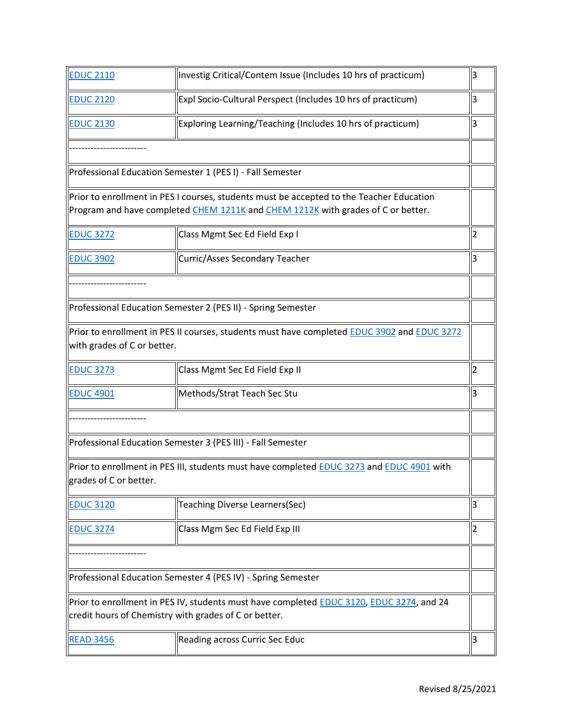| <b>EDUC 2110</b>            | Investig Critical/Contem Issue (Includes 10 hrs of practicum)                                                                                                                | 3  |
|-----------------------------|------------------------------------------------------------------------------------------------------------------------------------------------------------------------------|----|
| <b>EDUC 2120</b>            | Expl Socio-Cultural Perspect (Includes 10 hrs of practicum)                                                                                                                  | 3  |
| <b>EDUC 2130</b>            | Exploring Learning/Teaching (Includes 10 hrs of practicum)                                                                                                                   | 3  |
|                             |                                                                                                                                                                              |    |
|                             | Professional Education Semester 1 (PES I) - Fall Semester                                                                                                                    |    |
|                             | Prior to enrollment in PES I courses, students must be accepted to the Teacher Education<br>Program and have completed CHEM 1211K and CHEM 1212K with grades of C or better. |    |
| <b>EDUC 3272</b>            | Class Mgmt Sec Ed Field Exp I                                                                                                                                                | 2  |
| <b>EDUC 3902</b>            | Curric/Asses Secondary Teacher                                                                                                                                               |    |
|                             |                                                                                                                                                                              |    |
|                             | Professional Education Semester 2 (PES II) - Spring Semester                                                                                                                 |    |
| with grades of C or better. | Prior to enrollment in PES II courses, students must have completed EDUC 3902 and EDUC 3272                                                                                  |    |
| <b>EDUC 3273</b>            | Class Mgmt Sec Ed Field Exp II                                                                                                                                               | 2  |
| <b>EDUC 4901</b>            | Methods/Strat Teach Sec Stu                                                                                                                                                  | 3  |
|                             |                                                                                                                                                                              |    |
|                             | Professional Education Semester 3 (PES III) - Fall Semester                                                                                                                  |    |
| grades of C or better.      | Prior to enrollment in PES III, students must have completed EDUC 3273 and EDUC 4901 with                                                                                    |    |
| <b>EDUC 3120</b>            | Teaching Diverse Learners(Sec)                                                                                                                                               | IЗ |
| <b>EDUC 3274</b>            | Class Mgm Sec Ed Field Exp III                                                                                                                                               | 2  |
|                             |                                                                                                                                                                              |    |
|                             | Professional Education Semester 4 (PES IV) - Spring Semester                                                                                                                 |    |
|                             | Prior to enrollment in PES IV, students must have completed <b>EDUC 3120, EDUC 3274</b> , and 24<br>credit hours of Chemistry with grades of C or better.                    |    |
| <b>READ 3456</b>            | Reading across Curric Sec Educ                                                                                                                                               | 3  |